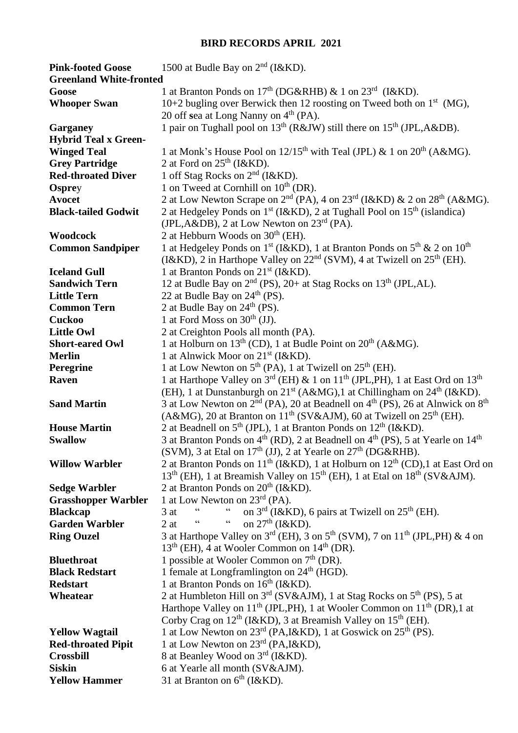## **BIRD RECORDS APRIL 2021**

| <b>Pink-footed Goose</b>       | 1500 at Budle Bay on $2nd$ (I&KD).                                                                            |
|--------------------------------|---------------------------------------------------------------------------------------------------------------|
| <b>Greenland White-fronted</b> |                                                                                                               |
| Goose                          | 1 at Branton Ponds on $17th$ (DG&RHB) & 1 on $23rd$ (I&KD).                                                   |
| <b>Whooper Swan</b>            | 10+2 bugling over Berwick then 12 roosting on Tweed both on $1st$ (MG),                                       |
|                                | 20 off sea at Long Nanny on 4 <sup>th</sup> (PA).                                                             |
| Garganey                       | 1 pair on Tughall pool on 13 <sup>th</sup> (R&JW) still there on 15 <sup>th</sup> (JPL,A&DB).                 |
| <b>Hybrid Teal x Green-</b>    |                                                                                                               |
| <b>Winged Teal</b>             | 1 at Monk's House Pool on $12/15^{th}$ with Teal (JPL) & 1 on $20^{th}$ (A&MG).                               |
| <b>Grey Partridge</b>          | 2 at Ford on $25th$ (I&KD).                                                                                   |
| <b>Red-throated Diver</b>      | 1 off Stag Rocks on $2nd$ (I&KD).                                                                             |
| <b>Osprey</b>                  | 1 on Tweed at Cornhill on $10^{th}$ (DR).                                                                     |
| <b>Avocet</b>                  | 2 at Low Newton Scrape on $2^{nd}$ (PA), 4 on $23^{rd}$ (I&KD) & 2 on $28^{th}$ (A&MG).                       |
| <b>Black-tailed Godwit</b>     | 2 at Hedgeley Ponds on 1 <sup>st</sup> (I&KD), 2 at Tughall Pool on 15 <sup>th</sup> (islandica)              |
|                                | (JPL, A&DB), 2 at Low Newton on 23 <sup>rd</sup> (PA).                                                        |
| Woodcock                       | 2 at Hebburn Woods on $30th$ (EH).                                                                            |
| <b>Common Sandpiper</b>        | 1 at Hedgeley Ponds on 1 <sup>st</sup> (I&KD), 1 at Branton Ponds on $5th$ & 2 on $10th$                      |
|                                | (I&KD), 2 in Harthope Valley on $22nd$ (SVM), 4 at Twizell on $25th$ (EH).                                    |
| <b>Iceland Gull</b>            | 1 at Branton Ponds on $21^{st}$ (I&KD).                                                                       |
| <b>Sandwich Tern</b>           | 12 at Budle Bay on 2 <sup>nd</sup> (PS), 20+ at Stag Rocks on 13 <sup>th</sup> (JPL, AL).                     |
| <b>Little Tern</b>             | 22 at Budle Bay on 24 <sup>th</sup> (PS).                                                                     |
| <b>Common Tern</b>             | 2 at Budle Bay on $24th$ (PS).                                                                                |
| <b>Cuckoo</b>                  | 1 at Ford Moss on $30th$ (JJ).                                                                                |
| <b>Little Owl</b>              | 2 at Creighton Pools all month (PA).                                                                          |
| <b>Short-eared Owl</b>         | 1 at Holburn on $13^{th}$ (CD), 1 at Budle Point on $20^{th}$ (A&MG).                                         |
| <b>Merlin</b>                  | 1 at Alnwick Moor on 21 <sup>st</sup> (I&KD).                                                                 |
| Peregrine                      | 1 at Low Newton on 5 <sup>th</sup> (PA), 1 at Twizell on 25 <sup>th</sup> (EH).                               |
| Raven                          | 1 at Harthope Valley on 3rd (EH) & 1 on 11 <sup>th</sup> (JPL, PH), 1 at East Ord on 13 <sup>th</sup>         |
|                                | (EH), 1 at Dunstanburgh on $21^{st}$ (A&MG),1 at Chillingham on $24^{th}$ (I&KD).                             |
| <b>Sand Martin</b>             | 3 at Low Newton on $2^{nd}$ (PA), 20 at Beadnell on $4^{th}$ (PS), 26 at Alnwick on $8^{th}$                  |
|                                | (A&MG), 20 at Branton on $11^{th}$ (SV&AJM), 60 at Twizell on $25^{th}$ (EH).                                 |
| <b>House Martin</b>            | 2 at Beadnell on $5th$ (JPL), 1 at Branton Ponds on $12th$ (I&KD).                                            |
| <b>Swallow</b>                 | 3 at Branton Ponds on $4th$ (RD), 2 at Beadnell on $4th$ (PS), 5 at Yearle on $14th$                          |
|                                | (SVM), 3 at Etal on $17th$ (JJ), 2 at Yearle on $27th$ (DG&RHB).                                              |
| <b>Willow Warbler</b>          | 2 at Branton Ponds on $11th$ (I&KD), 1 at Holburn on $12th$ (CD), 1 at East Ord on                            |
|                                | 13 <sup>th</sup> (EH), 1 at Breamish Valley on 15 <sup>th</sup> (EH), 1 at Etal on 18 <sup>th</sup> (SV&AJM). |
| <b>Sedge Warbler</b>           | 2 at Branton Ponds on $20th$ (I&KD).                                                                          |
| <b>Grasshopper Warbler</b>     | 1 at Low Newton on $23^{\text{rd}}$ (PA).                                                                     |
| <b>Blackcap</b>                | on $3rd$ (I&KD), 6 pairs at Twizell on $25th$ (EH).<br>3 at                                                   |
| <b>Garden Warbler</b>          | on $27th$ (I&KD).<br>2at<br>66<br>"                                                                           |
| <b>Ring Ouzel</b>              | 3 at Harthope Valley on $3^{rd}$ (EH), 3 on $5^{th}$ (SVM), 7 on $11^{th}$ (JPL, PH) & 4 on                   |
|                                | $13th$ (EH), 4 at Wooler Common on $14th$ (DR).                                                               |
| <b>Bluethroat</b>              | 1 possible at Wooler Common on $7th$ (DR).                                                                    |
| <b>Black Redstart</b>          | 1 female at Longframlington on $24th$ (HGD).                                                                  |
| <b>Redstart</b>                | 1 at Branton Ponds on $16th$ (I&KD).                                                                          |
| Wheatear                       | 2 at Humbleton Hill on $3rd$ (SV&AJM), 1 at Stag Rocks on $5th$ (PS), 5 at                                    |
|                                | Harthope Valley on $11th$ (JPL, PH), 1 at Wooler Common on $11th$ (DR), 1 at                                  |
|                                | Corby Crag on $12th$ (I&KD), 3 at Breamish Valley on $15th$ (EH).                                             |
| <b>Yellow Wagtail</b>          | 1 at Low Newton on $23^{\text{rd}}$ (PA, I&KD), 1 at Goswick on $25^{\text{th}}$ (PS).                        |
| <b>Red-throated Pipit</b>      | 1 at Low Newton on 23rd (PA, I&KD),                                                                           |
| <b>Crossbill</b>               | 8 at Beanley Wood on 3 <sup>rd</sup> (I&KD).                                                                  |
| <b>Siskin</b>                  | 6 at Yearle all month (SV&AJM).                                                                               |
| <b>Yellow Hammer</b>           | 31 at Branton on $6th$ (I&KD).                                                                                |